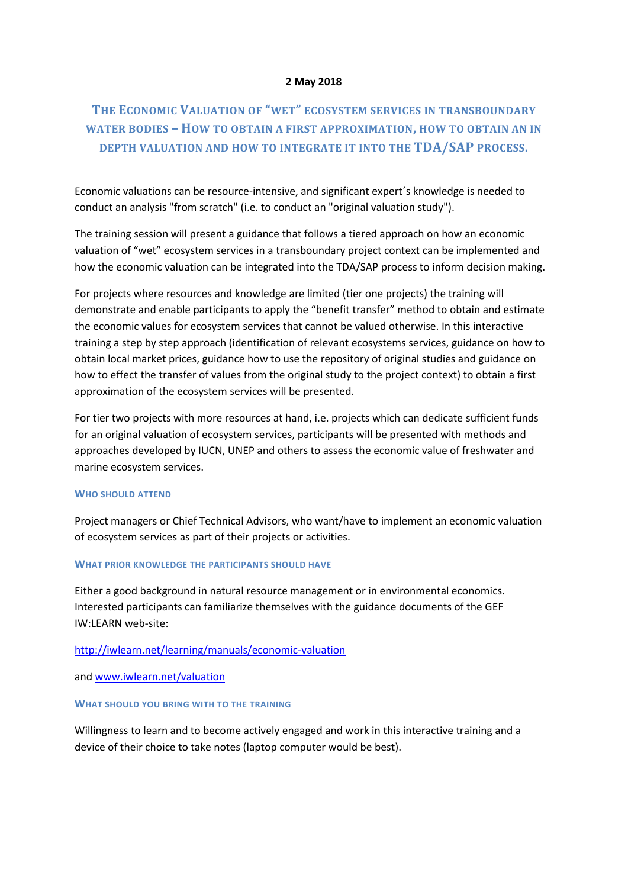### **2 May 2018**

# **THE ECONOMIC VALUATION OF "WET" ECOSYSTEM SERVICES IN TRANSBOUNDARY WATER BODIES – HOW TO OBTAIN A FIRST APPROXIMATION, HOW TO OBTAIN AN IN DEPTH VALUATION AND HOW TO INTEGRATE IT INTO THE TDA/SAP PROCESS.**

Economic valuations can be resource-intensive, and significant expert´s knowledge is needed to conduct an analysis "from scratch" (i.e. to conduct an "original valuation study").

The training session will present a guidance that follows a tiered approach on how an economic valuation of "wet" ecosystem services in a transboundary project context can be implemented and how the economic valuation can be integrated into the TDA/SAP process to inform decision making.

For projects where resources and knowledge are limited (tier one projects) the training will demonstrate and enable participants to apply the "benefit transfer" method to obtain and estimate the economic values for ecosystem services that cannot be valued otherwise. In this interactive training a step by step approach (identification of relevant ecosystems services, guidance on how to obtain local market prices, guidance how to use the repository of original studies and guidance on how to effect the transfer of values from the original study to the project context) to obtain a first approximation of the ecosystem services will be presented.

For tier two projects with more resources at hand, i.e. projects which can dedicate sufficient funds for an original valuation of ecosystem services, participants will be presented with methods and approaches developed by IUCN, UNEP and others to assess the economic value of freshwater and marine ecosystem services.

#### **WHO SHOULD ATTEND**

Project managers or Chief Technical Advisors, who want/have to implement an economic valuation of ecosystem services as part of their projects or activities.

### **WHAT PRIOR KNOWLEDGE THE PARTICIPANTS SHOULD HAVE**

Either a good background in natural resource management or in environmental economics. Interested participants can familiarize themselves with the guidance documents of the GEF IW:LEARN web-site:

## <http://iwlearn.net/learning/manuals/economic-valuation>

and [www.iwlearn.net/valuation](http://www.iwlearn.net/valuation)

#### **WHAT SHOULD YOU BRING WITH TO THE TRAINING**

Willingness to learn and to become actively engaged and work in this interactive training and a device of their choice to take notes (laptop computer would be best).